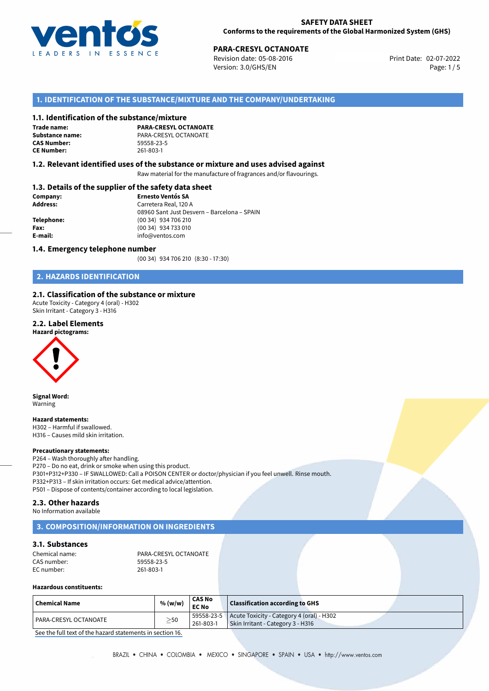

# **PARA-CRESYL OCTANOATE**<br>
Revision date: 05-08-2016<br> **Print Date: 02-07-2022**

Revision date: 05-08-2016 Version: 3.0/GHS/EN Page: 1/5

# **1. IDENTIFICATION OF THE SUBSTANCE/MIXTURE AND THE COMPANY/UNDERTAKING**

#### **1.1. Identification of the substance/mixture**

**Trade name: CAS Number: CE Number:** 261-803-1

**PARA-CRESYL OCTANOATE Substance name:** PARA-CRESYL OCTANOATE

# **1.2. Relevant identified uses of the substance or mixture and uses advised against**

Raw material for the manufacture of fragrances and/or flavourings.

# **1.3. Details of the supplier of the safety data sheet**

| Company:        | <b>Ernesto Ventós SA</b>                    |
|-----------------|---------------------------------------------|
| <b>Address:</b> | Carretera Real, 120 A                       |
|                 | 08960 Sant Just Desvern - Barcelona - SPAIN |
| Telephone:      | (00 34) 934 706 210                         |
| Fax:            | (00 34) 934 733 010                         |
| E-mail:         | info@ventos.com                             |
|                 |                                             |

#### **1.4. Emergency telephone number**

(00 34) 934 706 210 (8:30 - 17:30)

# **2. HAZARDS IDENTIFICATION**

# **2.1. Classification of the substance or mixture**

Acute Toxicity - Category 4 (oral) - H302 Skin Irritant - Category 3 - H316

#### **2.2. Label Elements**



**Signal Word:** Warning

**Hazard statements:** H302 – Harmful if swallowed. H316 – Causes mild skin irritation.

#### **Precautionary statements:**

P264 – Wash thoroughly after handling. P270 – Do no eat, drink or smoke when using this product. P301+P312+P330 – IF SWALLOWED: Call a POISON CENTER or doctor/physician if you feel unwell. Rinse mouth. P332+P313 – If skin irritation occurs: Get medical advice/attention. P501 – Dispose of contents/container according to local legislation.

#### **2.3. Other hazards**

No Information available

# **3. COMPOSITION/INFORMATION ON INGREDIENTS**

# **3.1. Substances**

| Chemical name: | PARA-CRESYL OCTANOATE |
|----------------|-----------------------|
| CAS number:    | 59558-23-5            |
| EC number:     | 261-803-1             |

#### **Hazardous constituents:**

| $\mid$ Chemical Name  | % (w/w)   | <b>CAS No</b><br><b>EC No</b> | Classification according to GHS                                                             |
|-----------------------|-----------|-------------------------------|---------------------------------------------------------------------------------------------|
| PARA-CRESYL OCTANOATE | $\geq$ 50 | 261-803-1                     | $59558-23-5$ Acute Toxicity - Category 4 (oral) - H302<br>Skin Irritant - Category 3 - H316 |

[See the full text of the hazard statements in section 16.](#page--1-0)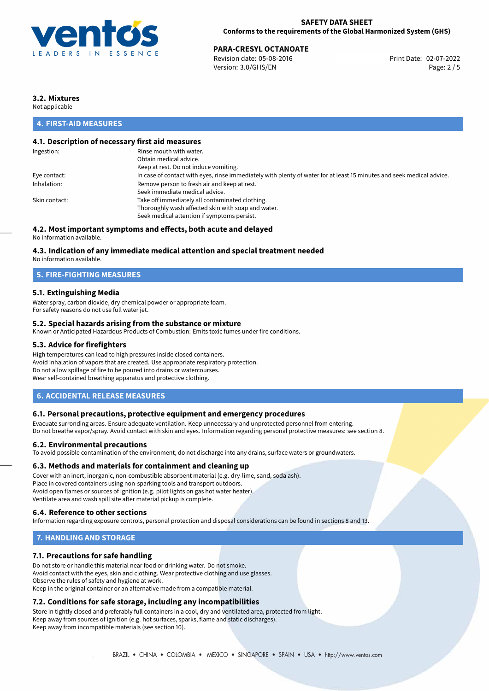

**PARA-CRESYL OCTANOATE**<br>
Revision date: 05-08-2016 **Print Date: 02-07-2022** Version: 3.0/GHS/EN Page: 2 / 5

# **3.2. Mixtures**

Not applicable

# **4. FIRST-AID MEASURES**

# **4.1. Description of necessary first aid measures**

| Ingestion:    | Rinse mouth with water.                                                                                               |
|---------------|-----------------------------------------------------------------------------------------------------------------------|
|               | Obtain medical advice.                                                                                                |
|               | Keep at rest. Do not induce vomiting.                                                                                 |
| Eye contact:  | In case of contact with eyes, rinse immediately with plenty of water for at least 15 minutes and seek medical advice. |
| Inhalation:   | Remove person to fresh air and keep at rest.                                                                          |
|               | Seek immediate medical advice.                                                                                        |
| Skin contact: | Take off immediately all contaminated clothing.                                                                       |
|               | Thoroughly wash affected skin with soap and water.                                                                    |
|               | Seek medical attention if symptoms persist.                                                                           |
|               |                                                                                                                       |

# **4.2. Most important symptoms and effects, both acute and delayed**

No information available.

# **4.3. Indication of any immediate medical attention and special treatment needed**

No information available.

# **5. FIRE-FIGHTING MEASURES**

# **5.1. Extinguishing Media**

Water spray, carbon dioxide, dry chemical powder or appropriate foam. For safety reasons do not use full water jet.

# **5.2. Special hazards arising from the substance or mixture**

Known or Anticipated Hazardous Products of Combustion: Emits toxic fumes under fire conditions.

# **5.3. Advice for firefighters**

High temperatures can lead to high pressures inside closed containers. Avoid inhalation of vapors that are created. Use appropriate respiratory protection. Do not allow spillage of fire to be poured into drains or watercourses. Wear self-contained breathing apparatus and protective clothing.

# **6. ACCIDENTAL RELEASE MEASURES**

#### **6.1. Personal precautions, protective equipment and emergency procedures**

Evacuate surronding areas. Ensure adequate ventilation. Keep unnecessary and unprotected personnel from entering. Do not breathe vapor/spray. Avoid contact with skin and eyes. Information regarding personal protective measures: see section 8.

#### **6.2. Environmental precautions**

To avoid possible contamination of the environment, do not discharge into any drains, surface waters or groundwaters.

#### **6.3. Methods and materials for containment and cleaning up**

Cover with an inert, inorganic, non-combustible absorbent material (e.g. dry-lime, sand, soda ash). Place in covered containers using non-sparking tools and transport outdoors. Avoid open flames or sources of ignition (e.g. pilot lights on gas hot water heater). Ventilate area and wash spill site after material pickup is complete.

#### **6.4. Reference to other sections**

Information regarding exposure controls, personal protection and disposal considerations can be found in sections 8 and 13.

# **7. HANDLING AND STORAGE**

# **7.1. Precautions for safe handling**

Do not store or handle this material near food or drinking water. Do not smoke. Avoid contact with the eyes, skin and clothing. Wear protective clothing and use glasses. Observe the rules of safety and hygiene at work. Keep in the original container or an alternative made from a compatible material.

# **7.2. Conditions for safe storage, including any incompatibilities**

Store in tightly closed and preferably full containers in a cool, dry and ventilated area, protected from light. Keep away from sources of ignition (e.g. hot surfaces, sparks, flame and static discharges). Keep away from incompatible materials (see section 10).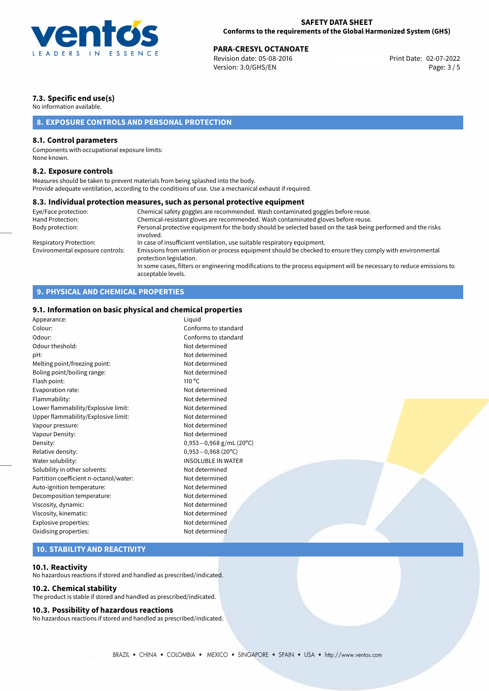

# **PARA-CRESYL OCTANOATE**<br>
Revision date: 05-08-2016<br> **Print Date: 02-07-2022**

Revision date: 05-08-2016 Version: 3.0/GHS/EN Page: 3 / 5

# **7.3. Specific end use(s)**

No information available.

# **8. EXPOSURE CONTROLS AND PERSONAL PROTECTION**

# **8.1. Control parameters**

Components with occupational exposure limits: None known.

### **8.2. Exposure controls**

Measures should be taken to prevent materials from being splashed into the body. Provide adequate ventilation, according to the conditions of use. Use a mechanical exhaust if required.

#### **8.3. Individual protection measures, such as personal protective equipment**

| Eye/Face protection:             | Chemical safety goggles are recommended. Wash contaminated goggles before reuse.                                                            |
|----------------------------------|---------------------------------------------------------------------------------------------------------------------------------------------|
| Hand Protection:                 | Chemical-resistant gloves are recommended. Wash contaminated gloves before reuse.                                                           |
| Body protection:                 | Personal protective equipment for the body should be selected based on the task being performed and the risks<br>involved.                  |
| Respiratory Protection:          | In case of insufficient ventilation, use suitable respiratory equipment.                                                                    |
| Environmental exposure controls: | Emissions from ventilation or process equipment should be checked to ensure they comply with environmental<br>protection legislation.       |
|                                  | In some cases, filters or engineering modifications to the process equipment will be necessary to reduce emissions to<br>acceptable levels. |

# **9. PHYSICAL AND CHEMICAL PROPERTIES**

# **9.1. Information on basic physical and chemical properties**

| Appearance:                            | Liquid                      |  |
|----------------------------------------|-----------------------------|--|
| Colour:                                | Conforms to standard        |  |
| Odour:                                 | Conforms to standard        |  |
| Odour theshold:                        | Not determined              |  |
| pH:                                    | Not determined              |  |
| Melting point/freezing point:          | Not determined              |  |
| Boling point/boiling range:            | Not determined              |  |
| Flash point:                           | $110^{\circ}$ C             |  |
| Evaporation rate:                      | Not determined              |  |
| Flammability:                          | Not determined              |  |
| Lower flammability/Explosive limit:    | Not determined              |  |
| Upper flammability/Explosive limit:    | Not determined              |  |
| Vapour pressure:                       | Not determined              |  |
| Vapour Density:                        | Not determined              |  |
| Density:                               | $0,953 - 0,968$ g/mL (20°C) |  |
| Relative density:                      | $0,953 - 0,968$ (20°C)      |  |
| Water solubility:                      | <b>INSOLUBLE IN WATER</b>   |  |
| Solubility in other solvents:          | Not determined              |  |
| Partition coefficient n-octanol/water: | Not determined              |  |
| Auto-ignition temperature:             | Not determined              |  |
| Decomposition temperature:             | Not determined              |  |
| Viscosity, dynamic:                    | Not determined              |  |
| Viscosity, kinematic:                  | Not determined              |  |
| Explosive properties:                  | Not determined              |  |
| Oxidising properties:                  | Not determined              |  |
|                                        |                             |  |

# **10. STABILITY AND REACTIVITY**

### **10.1. Reactivity**

No hazardous reactions if stored and handled as prescribed/indicated.

# **10.2. Chemical stability**

The product is stable if stored and handled as prescribed/indicated.

#### **10.3. Possibility of hazardous reactions**

No hazardous reactions if stored and handled as prescribed/indicated.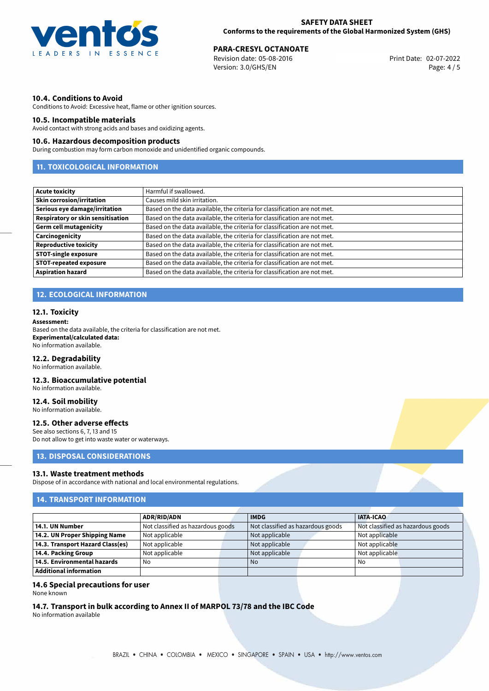

# **PARA-CRESYL OCTANOATE**<br>
Revision date: 05-08-2016<br> **Print Date: 02-07-2022**

Revision date: 05-08-2016 Version: 3.0/GHS/EN Page: 4 / 5

# **10.4. Conditions to Avoid**

Conditions to Avoid: Excessive heat, flame or other ignition sources.

# **10.5. Incompatible materials**

Avoid contact with strong acids and bases and oxidizing agents.

# **10.6. Hazardous decomposition products**

During combustion may form carbon monoxide and unidentified organic compounds.

# **11. TOXICOLOGICAL INFORMATION**

| <b>Acute toxicity</b>             | Harmful if swallowed.                                                     |
|-----------------------------------|---------------------------------------------------------------------------|
| <b>Skin corrosion/irritation</b>  | Causes mild skin irritation.                                              |
| Serious eye damage/irritation     | Based on the data available, the criteria for classification are not met. |
| Respiratory or skin sensitisation | Based on the data available, the criteria for classification are not met. |
| <b>Germ cell mutagenicity</b>     | Based on the data available, the criteria for classification are not met. |
| Carcinogenicity                   | Based on the data available, the criteria for classification are not met. |
| <b>Reproductive toxicity</b>      | Based on the data available, the criteria for classification are not met. |
| <b>STOT-single exposure</b>       | Based on the data available, the criteria for classification are not met. |
| <b>STOT-repeated exposure</b>     | Based on the data available, the criteria for classification are not met. |
| <b>Aspiration hazard</b>          | Based on the data available, the criteria for classification are not met. |

# **12. ECOLOGICAL INFORMATION**

#### **12.1. Toxicity**

#### **Assessment:**

Based on the data available, the criteria for classification are not met. **Experimental/calculated data:** No information available.

#### **12.2. Degradability**

No information available.

# **12.3. Bioaccumulative potential**

No information available.

# **12.4. Soil mobility**

No information available.

### **12.5. Other adverse effects**

See also sections 6, 7, 13 and 15 Do not allow to get into waste water or waterways.

# **13. DISPOSAL CONSIDERATIONS**

#### **13.1. Waste treatment methods**

Dispose of in accordance with national and local environmental regulations.

# **14. TRANSPORT INFORMATION**

|                                  | <b>ADR/RID/ADN</b>                |  | <b>IMDG</b>                       |                | <b>IATA-ICAO</b>                  |  |
|----------------------------------|-----------------------------------|--|-----------------------------------|----------------|-----------------------------------|--|
| 14.1. UN Number                  | Not classified as hazardous goods |  | Not classified as hazardous goods |                | Not classified as hazardous goods |  |
| 14.2. UN Proper Shipping Name    | Not applicable                    |  | Not applicable                    | Not applicable |                                   |  |
| 14.3. Transport Hazard Class(es) | Not applicable                    |  | Not applicable                    |                | Not applicable                    |  |
| 14.4. Packing Group              | Not applicable                    |  | Not applicable                    |                | Not applicable                    |  |
| 14.5. Environmental hazards      | No                                |  | <b>No</b>                         |                | No                                |  |
| Additional information           |                                   |  |                                   |                |                                   |  |

### **14.6 Special precautions for user**

None known

# **14.7. Transport in bulk according to Annex II of MARPOL 73/78 and the IBC Code**

No information available